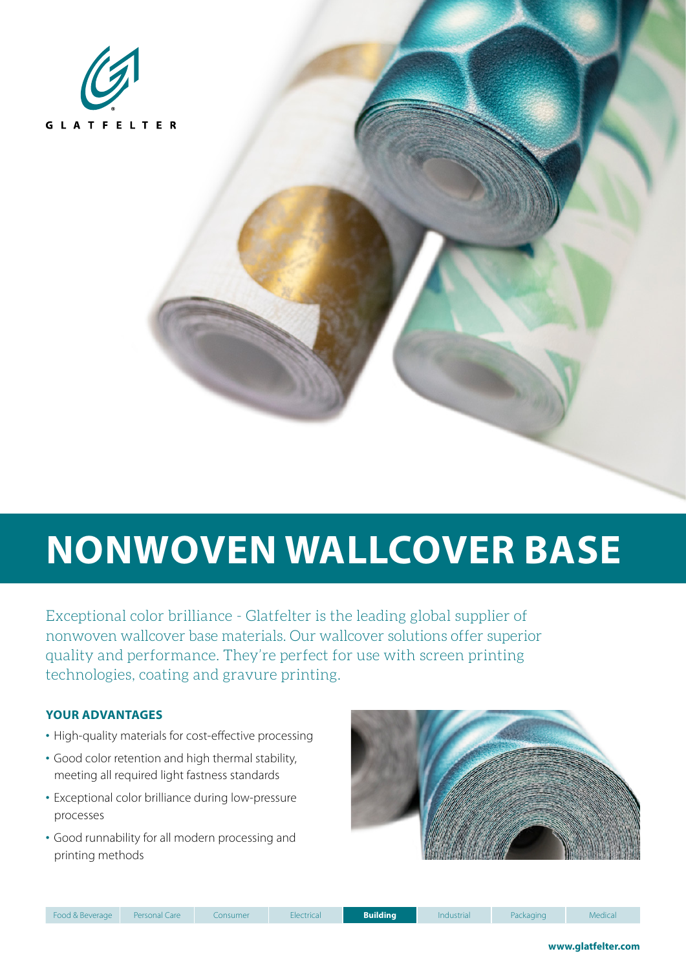

# **NONWOVEN WALLCOVER BASE**

Exceptional color brilliance - Glatfelter is the leading global supplier of nonwoven wallcover base materials. Our wallcover solutions offer superior quality and performance. They're perfect for use with screen printing technologies, coating and gravure printing.

### **YOUR ADVANTAGES**

- High-quality materials for cost-effective processing
- Good color retention and high thermal stability, meeting all required light fastness standards
- Exceptional color brilliance during low-pressure processes
- Good runnability for all modern processing and printing methods